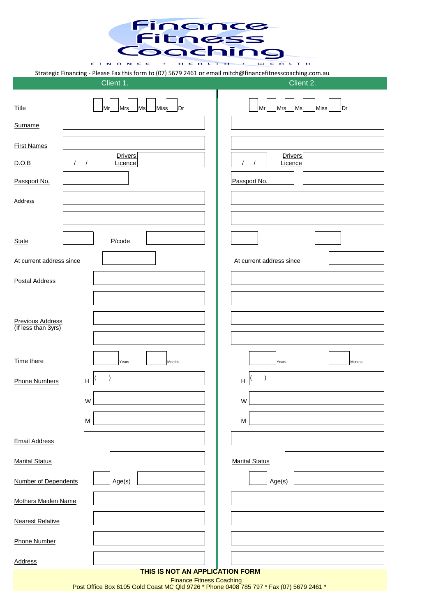Finance **Fitness**<br>Coaching  $S = \begin{bmatrix} 1 & N & R & N & C \\ 1 & N & N & C & C \\ 1 & N & N & N & C \end{bmatrix}$   $S_679\,2461$  or email mitch@financefitnesscoaching.com.

|                                         | Client 1.                             | Strategic Financing - Please Fax this form to (07) 5679 2461 or email mitch@financefitnesscoaching.com.au<br>Client 2. |
|-----------------------------------------|---------------------------------------|------------------------------------------------------------------------------------------------------------------------|
| <b>Title</b>                            | Mr<br>Mrs<br>Miss<br>Ms<br>Dr         | Miss<br>Mr<br>Dr<br>Mrs<br>Ms                                                                                          |
| Surname                                 |                                       |                                                                                                                        |
| <b>First Names</b>                      |                                       |                                                                                                                        |
| D.O.B<br>$\sqrt{2}$                     | <b>Drivers</b><br>Licence<br>$\prime$ | <b>Drivers</b><br>Licence<br>$\prime$                                                                                  |
| Passport No.                            |                                       | Passport No.                                                                                                           |
| <b>Address</b>                          |                                       |                                                                                                                        |
|                                         |                                       |                                                                                                                        |
| <b>State</b>                            | P/code                                |                                                                                                                        |
| At current address since                |                                       | At current address since                                                                                               |
| <b>Postal Address</b>                   |                                       |                                                                                                                        |
|                                         |                                       |                                                                                                                        |
|                                         |                                       |                                                                                                                        |
| Previous Address<br>(If less than 3yrs) |                                       |                                                                                                                        |
| Time there                              | Months<br>Years                       | Months<br>Years                                                                                                        |
| Phone Numbers                           | $\mathcal{E}$<br>H                    | $\lambda$<br>H                                                                                                         |
|                                         | W                                     | ${\sf W}$                                                                                                              |
|                                         | М                                     | M                                                                                                                      |
|                                         |                                       |                                                                                                                        |
| <b>Email Address</b>                    |                                       |                                                                                                                        |
| <b>Marital Status</b>                   |                                       | <b>Marital Status</b>                                                                                                  |
| Number of Dependents                    | Age(s)                                | Age(s)                                                                                                                 |
| <b>Mothers Maiden Name</b>              |                                       |                                                                                                                        |
| <b>Nearest Relative</b>                 |                                       |                                                                                                                        |
| Phone Number                            |                                       |                                                                                                                        |
| <b>Address</b>                          |                                       |                                                                                                                        |
|                                         | THIS IS NOT AN APPLICATION FORM       | <b>Finance Fitness Coaching</b>                                                                                        |

Post Office Box 6105 Gold Coast MC Qld 9726 \* Phone 0408 785 797 \* Fax (07) 5679 2461 \*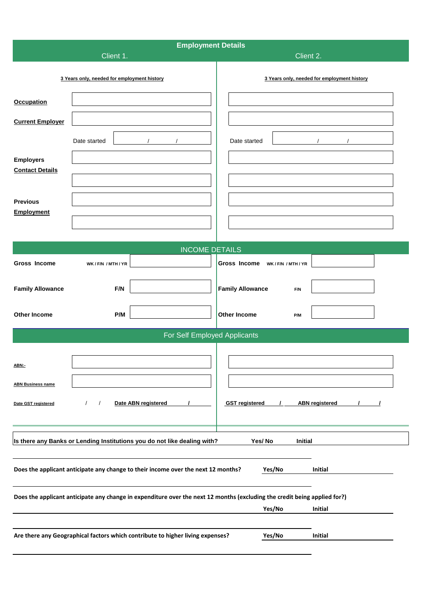| <b>Employment Details</b>                   |                                                                                                                           |                                                |  |  |
|---------------------------------------------|---------------------------------------------------------------------------------------------------------------------------|------------------------------------------------|--|--|
|                                             | Client 1.<br>Client 2.                                                                                                    |                                                |  |  |
| 3 Years only, needed for employment history |                                                                                                                           | 3 Years only, needed for employment history    |  |  |
| <b>Occupation</b>                           |                                                                                                                           |                                                |  |  |
| <b>Current Employer</b>                     |                                                                                                                           |                                                |  |  |
|                                             | Date started                                                                                                              | Date started                                   |  |  |
| <b>Employers</b>                            |                                                                                                                           |                                                |  |  |
| <b>Contact Details</b>                      |                                                                                                                           |                                                |  |  |
|                                             |                                                                                                                           |                                                |  |  |
| <b>Previous</b><br>Employment               |                                                                                                                           |                                                |  |  |
|                                             |                                                                                                                           |                                                |  |  |
|                                             | <b>INCOME DETAILS</b>                                                                                                     |                                                |  |  |
| Gross Income                                | WK / F/N / MTH / YR                                                                                                       | Gross Income WK/F/N / MTH/YR                   |  |  |
| <b>Family Allowance</b>                     | F/N                                                                                                                       | <b>Family Allowance</b><br>F/N                 |  |  |
|                                             |                                                                                                                           |                                                |  |  |
| <b>Other Income</b>                         | P/M                                                                                                                       | <b>Other Income</b><br>P/M                     |  |  |
|                                             | For Self Employed Applicants                                                                                              |                                                |  |  |
|                                             |                                                                                                                           |                                                |  |  |
| ABN:-                                       |                                                                                                                           |                                                |  |  |
| <b>ABN Business name</b>                    |                                                                                                                           |                                                |  |  |
| Date GST registered                         | Date ABN registered<br>$\prime$<br>$\prime$                                                                               | <b>GST</b> registered<br><b>ABN</b> registered |  |  |
|                                             |                                                                                                                           |                                                |  |  |
|                                             | Is there any Banks or Lending Institutions you do not like dealing with?                                                  | Yes/No<br>Initial                              |  |  |
|                                             | Does the applicant anticipate any change to their income over the next 12 months?                                         | Yes/No<br>Initial                              |  |  |
|                                             |                                                                                                                           |                                                |  |  |
|                                             | Does the applicant anticipate any change in expenditure over the next 12 months (excluding the credit being applied for?) |                                                |  |  |
|                                             |                                                                                                                           | Yes/No<br>Initial                              |  |  |
|                                             | Are there any Geographical factors which contribute to higher living expenses?                                            | Yes/No<br>Initial                              |  |  |
|                                             |                                                                                                                           |                                                |  |  |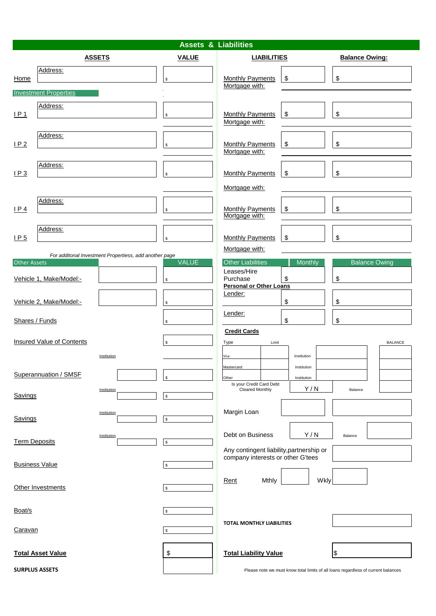# **Assets & Liabilities**

|                      | <b>ASSETS</b>                                          | <b>VALUE</b>       | <b>LIABILITIES</b>                                                                   | <b>Balance Owing:</b>                                                             |
|----------------------|--------------------------------------------------------|--------------------|--------------------------------------------------------------------------------------|-----------------------------------------------------------------------------------|
| Home                 | Address:                                               | \$                 | <b>Monthly Payments</b><br>\$<br>Mortgage with:                                      | \$                                                                                |
|                      | <b>Investment Properties</b>                           |                    |                                                                                      |                                                                                   |
| LP1                  | Address:                                               | $\mathbb{S}$       | \$<br><b>Monthly Payments</b><br>Mortgage with:                                      | \$                                                                                |
| IP2                  | Address:                                               | $\mathbb{S}$       | Monthly Payments<br>\$<br>Mortgage with:                                             | \$                                                                                |
| LP3                  | Address:                                               | \$                 | \$<br><b>Monthly Payments</b>                                                        | \$                                                                                |
|                      |                                                        |                    | Mortgage with:                                                                       |                                                                                   |
| IP4                  | Address:                                               | \$                 | <b>Monthly Payments</b><br>\$<br>Mortgage with:                                      | \$                                                                                |
| IP <sub>5</sub>      | Address:                                               | $\mathbb{S}$       | \$<br><b>Monthly Payments</b>                                                        | \$                                                                                |
|                      | For additonal Investment Propertiess, add another page |                    | Mortgage with:                                                                       |                                                                                   |
| <b>Other Assets</b>  | Vehicle 1, Make/Model:-                                | <b>VALUE</b><br>\$ | <b>Other Liabilities</b><br>Monthly<br>Leases/Hire<br>Purchase<br>\$                 | <b>Balance Owing</b><br>\$                                                        |
|                      | Vehicle 2, Make/Model:-                                | $\mathbb{S}$       | <b>Personal or Other Loans</b><br>Lender:<br>\$                                      | \$                                                                                |
|                      | Shares / Funds                                         | S                  | Lender:<br>\$                                                                        | \$                                                                                |
|                      | <b>Insured Value of Contents</b><br>Institution        | \$                 | <b>Credit Cards</b><br>Limit<br>Type<br>Institution<br>Visa                          | <b>BALANCE</b>                                                                    |
|                      | Superannuation / SMSF                                  |                    | Mastercard<br>Institution<br>Other<br>Institution<br>Is your Credit Card Debt<br>Y/N |                                                                                   |
| Savings              | Institution                                            | \$                 | <b>Cleared Monthly</b>                                                               | Balance                                                                           |
| Savings              | Institution                                            | $\mathbb{S}$       | Margin Loan                                                                          |                                                                                   |
| <b>Term Deposits</b> | Institution                                            | $\mathbb{S}$       | Debt on Business<br>Y/N<br>Any contingent liability, partnership or                  | Balance                                                                           |
|                      | <b>Business Value</b>                                  | S                  | company interests or other G'tees                                                    |                                                                                   |
|                      | Other Investments                                      | $\mathbb{S}$       | <b>Mthly</b><br>Rent                                                                 | Wkly                                                                              |
| Boat/s               |                                                        | \$                 |                                                                                      |                                                                                   |
| Caravan              |                                                        | S                  | <b>TOTAL MONTHLY LIABILITIES</b>                                                     |                                                                                   |
|                      | <b>Total Asset Value</b>                               | \$                 | <b>Total Liability Value</b>                                                         |                                                                                   |
|                      | <b>SURPLUS ASSETS</b>                                  |                    |                                                                                      | Please note we must know total limits of all loans regardless of current balances |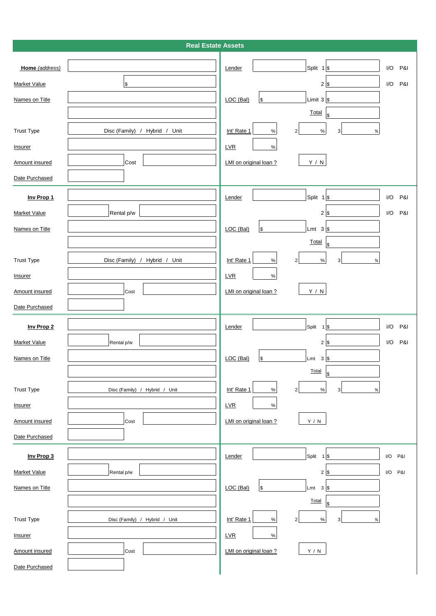# **Real Estate Assets**

| Home (address)        |                               | Split $1$ \$<br>I/O<br>P&I<br>Lender                       |
|-----------------------|-------------------------------|------------------------------------------------------------|
| <b>Market Value</b>   | $\$$                          | $2$ \$<br>I/O<br>P&I                                       |
| Names on Title        |                               | Limit $3$ \$<br>LOC (Bal)<br>$\frac{1}{2}$                 |
|                       |                               | Total<br>\$                                                |
| <b>Trust Type</b>     | Disc (Family) / Hybrid / Unit | Int' Rate 1<br>$\%$<br>$\%$<br>3<br>$\overline{2}$<br>$\%$ |
| <b>Insurer</b>        |                               | LVR<br>$\%$                                                |
| <b>Amount insured</b> | Cost                          | LMI on original loan?<br>$\mathsf{Y}$ / $\mathsf{N}$       |
| Date Purchased        |                               |                                                            |
| Inv Prop 1            |                               | Split $1$ \$<br>I/O<br>P&I<br>Lender                       |
| <b>Market Value</b>   | Rental p/w                    | $2$ \$<br>I/O<br>P&I                                       |
| Names on Title        |                               | LOC (Bal)<br>$\$$<br>Lmt<br>$3 $ \$                        |
|                       |                               | Total<br>$\sqrt[6]{\frac{1}{2}}$                           |
| <b>Trust Type</b>     | Disc (Family) / Hybrid / Unit | Int' Rate 1<br>$\%$<br>$\%$<br>3<br>$\overline{2}$<br>$\%$ |
| Insurer               |                               | LVR<br>$\%$                                                |
| <b>Amount insured</b> | Cost                          | $\mathsf{Y}$ / $\mathsf{N}$<br>LMI on original loan ?      |
| Date Purchased        |                               |                                                            |
|                       |                               |                                                            |
| Inv Prop 2            |                               | Split $1$ \$<br>I/O<br>P&I<br>Lender                       |
| <b>Market Value</b>   | Rental p/w                    | P&I<br>I/O<br>$2$ \$                                       |
| Names on Title        |                               | LOC (Bal)<br>$\$$<br>Lmt<br>3                              |
|                       |                               | Total<br>\$                                                |
| <b>Trust Type</b>     | Disc (Family) / Hybrid / Unit | Int' Rate 1<br>$\%$<br>3<br>$\%$<br>$\overline{2}$<br>$\%$ |
| Insurer               |                               | LVR<br>$\%$                                                |
| <b>Amount insured</b> | Cost                          | LMI on original loan ?<br>$\mathsf{Y}$ / $\mathsf{N}$      |
| Date Purchased        |                               |                                                            |
| Inv Prop 3            |                               | Lender<br>Split $1$ \$<br>I/O P&I                          |
| <b>Market Value</b>   | Rental p/w                    | $2$ \$<br>I/O P&I                                          |
| Names on Title        |                               | LOC (Bal)<br>$\$$<br>Lmt<br>3                              |
|                       |                               | Total<br>\$                                                |
| <b>Trust Type</b>     | Disc (Family) / Hybrid / Unit | Int' Rate 1<br>3<br>$\%$<br>$\overline{2}$<br>$\%$<br>$\%$ |
| Insurer               |                               | LVR<br>$\%$                                                |
| Amount insured        | Cost                          | LMI on original loan ?<br>Y / N                            |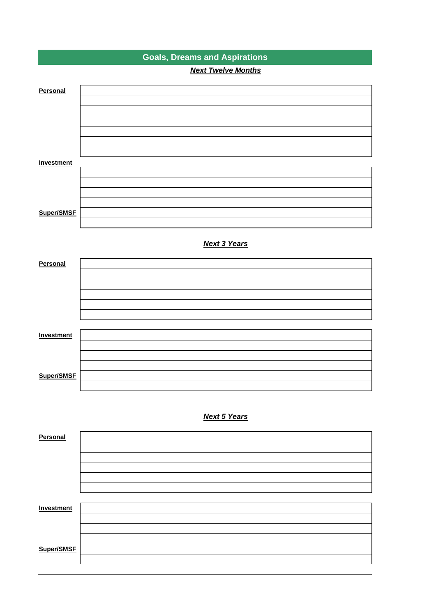|                   | <b>Goals, Dreams and Aspirations</b> |
|-------------------|--------------------------------------|
|                   | <b>Next Twelve Months</b>            |
| Personal          |                                      |
|                   |                                      |
|                   |                                      |
|                   |                                      |
|                   |                                      |
| <b>Investment</b> |                                      |
|                   |                                      |
|                   |                                      |
|                   |                                      |
| Super/SMSF        |                                      |
|                   | <b>Next 3 Years</b>                  |
| Personal          |                                      |
|                   |                                      |
|                   |                                      |
|                   |                                      |
|                   |                                      |
|                   |                                      |
| <b>Investment</b> |                                      |
|                   |                                      |
|                   |                                      |
| Super/SMSF        |                                      |
|                   |                                      |
|                   |                                      |
|                   | <b>Next 5 Years</b>                  |
| Personal          |                                      |
|                   |                                      |
|                   |                                      |
|                   |                                      |
|                   |                                      |
|                   |                                      |
| <b>Investment</b> |                                      |
|                   |                                      |
|                   |                                      |
| Super/SMSF        |                                      |
|                   |                                      |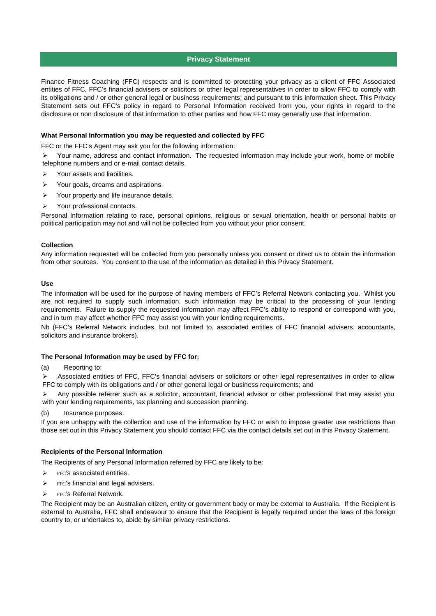## **Privacy Statement**

Finance Fitness Coaching (FFC) respects and is committed to protecting your privacy as a client of FFC Associated entities of FFC, FFC's financial advisers or solicitors or other legal representatives in order to allow FFC to comply with its obligations and / or other general legal or business requirements; and pursuant to this information sheet. This Privacy Statement sets out FFC's policy in regard to Personal Information received from you, your rights in regard to the disclosure or non disclosure of that information to other parties and how FFC may generally use that information.

#### **What Personal Information you may be requested and collected by FFC**

FFC or the FFC's Agent may ask you for the following information:

 Your name, address and contact information. The requested information may include your work, home or mobile telephone numbers and or e-mail contact details.

- $\triangleright$  Your assets and liabilities.
- $\triangleright$  Your goals, dreams and aspirations.
- $\triangleright$  Your property and life insurance details.
- Your professional contacts.

Personal Information relating to race, personal opinions, religious or sexual orientation, health or personal habits or political participation may not and will not be collected from you without your prior consent.

#### **Collection**

Any information requested will be collected from you personally unless you consent or direct us to obtain the information from other sources. You consent to the use of the information as detailed in this Privacy Statement.

## **Use**

The information will be used for the purpose of having members of FFC's Referral Network contacting you. Whilst you are not required to supply such information, such information may be critical to the processing of your lending requirements. Failure to supply the requested information may affect FFC's ability to respond or correspond with you, and in turn may affect whether FFC may assist you with your lending requirements.

Nb (FFC's Referral Network includes, but not limited to, associated entities of FFC financial advisers, accountants, solicitors and insurance brokers).

#### **The Personal Information may be used by FFC for:**

(a) Reporting to:

 Associated entities of FFC, FFC's financial advisers or solicitors or other legal representatives in order to allow FFC to comply with its obligations and / or other general legal or business requirements; and

 Any possible referrer such as a solicitor, accountant, financial advisor or other professional that may assist you with your lending requirements, tax planning and succession planning.

(b) Insurance purposes.

If you are unhappy with the collection and use of the information by FFC or wish to impose greater use restrictions than those set out in this Privacy Statement you should contact FFC via the contact details set out in this Privacy Statement.

#### **Recipients of the Personal Information**

The Recipients of any Personal Information referred by FFC are likely to be:

- $\triangleright$  FFC's associated entities.
- $\triangleright$  FFC's financial and legal advisers.
- $\triangleright$  FFC's Referral Network.

The Recipient may be an Australian citizen, entity or government body or may be external to Australia. If the Recipient is external to Australia, FFC shall endeavour to ensure that the Recipient is legally required under the laws of the foreign country to, or undertakes to, abide by similar privacy restrictions.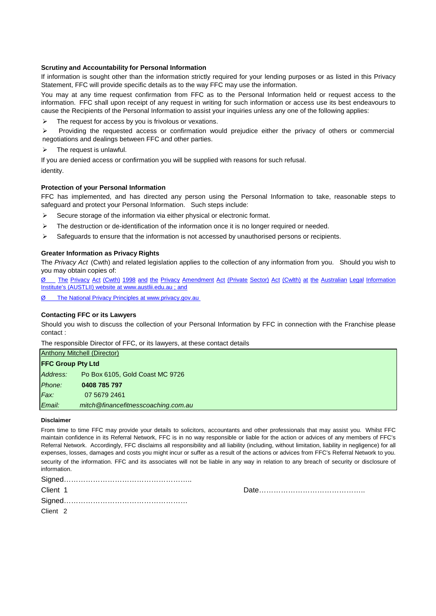# **Scrutiny and Accountability for Personal Information**

If information is sought other than the information strictly required for your lending purposes or as listed in this Privacy Statement, FFC will provide specific details as to the way FFC may use the information.

You may at any time request confirmation from FFC as to the Personal Information held or request access to the information. FFC shall upon receipt of any request in writing for such information or access use its best endeavours to cause the Recipients of the Personal Information to assist your inquiries unless any one of the following applies:

 $\triangleright$  The request for access by you is frivolous or vexations.

 Providing the requested access or confirmation would prejudice either the privacy of others or commercial negotiations and dealings between FFC and other parties.

 $\triangleright$  The request is unlawful.

If you are denied access or confirmation you will be supplied with reasons for such refusal.

identity.

# **Protection of your Personal Information**

FFC has implemented, and has directed any person using the Personal Information to take, reasonable steps to safeguard and protect your Personal Information. Such steps include:

- $\triangleright$  Secure storage of the information via either physical or electronic format.
- $\triangleright$  The destruction or de-identification of the information once it is no longer required or needed.
- $\triangleright$  Safeguards to ensure that the information is not accessed by unauthorised persons or recipients.

#### **Greater Information as Privacy Rights**

The *Privacy Act* (Cwth) and related legislation applies to the collection of any information from you. Should you wish to you may obtain copies of:

[Ø The](http://www.austlii.edu.au/) [Privacy](http://www.austlii.edu.au/) [Act](http://www.austlii.edu.au/) [\(Cwth\)](http://www.austlii.edu.au/) [1998](http://www.austlii.edu.au/) [and](http://www.austlii.edu.au/) [the](http://www.austlii.edu.au/) [Privacy](http://www.austlii.edu.au/) [Amendment](http://www.austlii.edu.au/) [Act](http://www.austlii.edu.au/) [\(Private](http://www.austlii.edu.au/) [Sector\)](http://www.austlii.edu.au/) [Act](http://www.austlii.edu.au/) [\(Cwlth\)](http://www.austlii.edu.au/) [at](http://www.austlii.edu.au/) [the](http://www.austlii.edu.au/) [Australian](http://www.austlii.edu.au/) [Legal](http://www.austlii.edu.au/) [Information](http://www.austlii.edu.au/) [Institute's \(AUSTLII\) website at www.austlii.edu.au ; and](http://www.austlii.edu.au/)

[Ø The National Privacy Principles at www.privacy.gov.au](http://www.privacy.gov.au/) 

#### **Contacting FFC or its Lawyers**

Should you wish to discuss the collection of your Personal Information by FFC in connection with the Franchise please contact :

The responsible Director of FFC, or its lawyers, at these contact details

| <b>Anthony Mitchell (Director)</b> |                                     |  |
|------------------------------------|-------------------------------------|--|
| <b>FFC Group Pty Ltd</b>           |                                     |  |
| Address:                           | Po Box 6105, Gold Coast MC 9726     |  |
| Phone:                             | 0408 785 797                        |  |
| Fax:                               | 07 5679 2461                        |  |
| Email:                             | mitch@financefitnesscoaching.com.au |  |

#### **Disclaimer**

From time to time FFC may provide your details to solicitors, accountants and other professionals that may assist you. Whilst FFC maintain confidence in its Referral Network, FFC is in no way responsible or liable for the action or advices of any members of FFC's Referral Network. Accordingly, FFC disclaims all responsibility and all liability (including, without limitation, liability in negligence) for all expenses, losses, damages and costs you might incur or suffer as a result of the actions or advices from FFC's Referral Network to you. security of the information. FFC and its associates will not be liable in any way in relation to any breach of security or disclosure of information.

| Client 1            |  |
|---------------------|--|
|                     |  |
| Client <sub>2</sub> |  |

Date………………………………………

Client 2